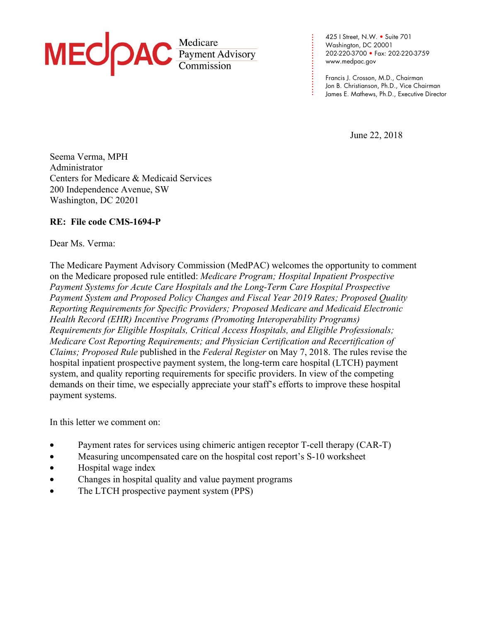

425 I Street, N.W. • Suite 701 Washington, DC 20001 202-220-3700 • Fax: 202-220-3759 www.medpac.gov

**. . . . . . . . . . . . . . . . . . . . . . . .**

Francis J. Crosson, M.D., Chairman Jon B. Christianson, Ph.D., Vice Chairman James E. Mathews, Ph.D., Executive Director

June 22, 2018

Seema Verma, MPH Administrator Centers for Medicare & Medicaid Services 200 Independence Avenue, SW Washington, DC 20201

## **RE: File code CMS-1694-P**

### Dear Ms. Verma:

The Medicare Payment Advisory Commission (MedPAC) welcomes the opportunity to comment on the Medicare proposed rule entitled: *Medicare Program; Hospital Inpatient Prospective Payment Systems for Acute Care Hospitals and the Long-Term Care Hospital Prospective Payment System and Proposed Policy Changes and Fiscal Year 2019 Rates; Proposed Quality Reporting Requirements for Specific Providers; Proposed Medicare and Medicaid Electronic Health Record (EHR) Incentive Programs (Promoting Interoperability Programs) Requirements for Eligible Hospitals, Critical Access Hospitals, and Eligible Professionals; Medicare Cost Reporting Requirements; and Physician Certification and Recertification of Claims; Proposed Rule* published in the *Federal Register* on May 7, 2018. The rules revise the hospital inpatient prospective payment system, the long-term care hospital (LTCH) payment system, and quality reporting requirements for specific providers. In view of the competing demands on their time, we especially appreciate your staff's efforts to improve these hospital payment systems.

In this letter we comment on:

- Payment rates for services using chimeric antigen receptor T-cell therapy (CAR-T)
- Measuring uncompensated care on the hospital cost report's S-10 worksheet
- Hospital wage index
- Changes in hospital quality and value payment programs
- The LTCH prospective payment system (PPS)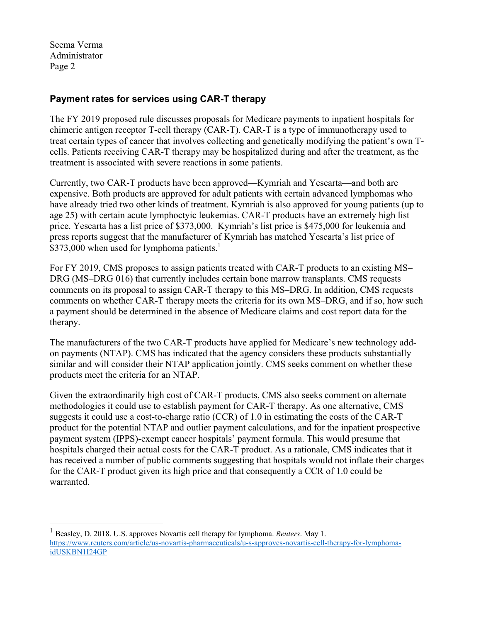<u>.</u>

## **Payment rates for services using CAR-T therapy**

The FY 2019 proposed rule discusses proposals for Medicare payments to inpatient hospitals for chimeric antigen receptor T-cell therapy (CAR-T). CAR-T is a type of immunotherapy used to treat certain types of cancer that involves collecting and genetically modifying the patient's own Tcells. Patients receiving CAR-T therapy may be hospitalized during and after the treatment, as the treatment is associated with severe reactions in some patients.

Currently, two CAR-T products have been approved—Kymriah and Yescarta—and both are expensive. Both products are approved for adult patients with certain advanced lymphomas who have already tried two other kinds of treatment. Kymriah is also approved for young patients (up to age 25) with certain acute lymphoctyic leukemias. CAR-T products have an extremely high list price. Yescarta has a list price of \$373,000. Kymriah's list price is \$475,000 for leukemia and press reports suggest that the manufacturer of Kymriah has matched Yescarta's list price of \$373,000 when used for lymphoma patients.<sup>1</sup>

For FY 2019, CMS proposes to assign patients treated with CAR-T products to an existing MS– DRG (MS–DRG 016) that currently includes certain bone marrow transplants. CMS requests comments on its proposal to assign CAR-T therapy to this MS–DRG. In addition, CMS requests comments on whether CAR-T therapy meets the criteria for its own MS–DRG, and if so, how such a payment should be determined in the absence of Medicare claims and cost report data for the therapy.

The manufacturers of the two CAR-T products have applied for Medicare's new technology addon payments (NTAP). CMS has indicated that the agency considers these products substantially similar and will consider their NTAP application jointly. CMS seeks comment on whether these products meet the criteria for an NTAP.

Given the extraordinarily high cost of CAR-T products, CMS also seeks comment on alternate methodologies it could use to establish payment for CAR-T therapy. As one alternative, CMS suggests it could use a cost-to-charge ratio (CCR) of 1.0 in estimating the costs of the CAR-T product for the potential NTAP and outlier payment calculations, and for the inpatient prospective payment system (IPPS)-exempt cancer hospitals' payment formula. This would presume that hospitals charged their actual costs for the CAR-T product. As a rationale, CMS indicates that it has received a number of public comments suggesting that hospitals would not inflate their charges for the CAR-T product given its high price and that consequently a CCR of 1.0 could be warranted.

<sup>1</sup> Beasley, D. 2018. U.S. approves Novartis cell therapy for lymphoma. *Reuters*. May 1. https://www.reuters.com/article/us-novartis-pharmaceuticals/u-s-approves-novartis-cell-therapy-for-lymphomaidUSKBN1I24GP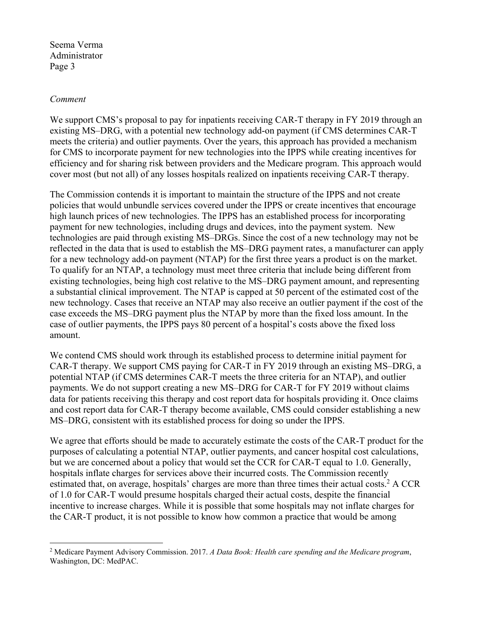#### *Comment*

1

We support CMS's proposal to pay for inpatients receiving CAR-T therapy in FY 2019 through an existing MS–DRG, with a potential new technology add-on payment (if CMS determines CAR-T meets the criteria) and outlier payments. Over the years, this approach has provided a mechanism for CMS to incorporate payment for new technologies into the IPPS while creating incentives for efficiency and for sharing risk between providers and the Medicare program. This approach would cover most (but not all) of any losses hospitals realized on inpatients receiving CAR-T therapy.

The Commission contends it is important to maintain the structure of the IPPS and not create policies that would unbundle services covered under the IPPS or create incentives that encourage high launch prices of new technologies. The IPPS has an established process for incorporating payment for new technologies, including drugs and devices, into the payment system. New technologies are paid through existing MS–DRGs. Since the cost of a new technology may not be reflected in the data that is used to establish the MS–DRG payment rates, a manufacturer can apply for a new technology add-on payment (NTAP) for the first three years a product is on the market. To qualify for an NTAP, a technology must meet three criteria that include being different from existing technologies, being high cost relative to the MS–DRG payment amount, and representing a substantial clinical improvement. The NTAP is capped at 50 percent of the estimated cost of the new technology. Cases that receive an NTAP may also receive an outlier payment if the cost of the case exceeds the MS–DRG payment plus the NTAP by more than the fixed loss amount. In the case of outlier payments, the IPPS pays 80 percent of a hospital's costs above the fixed loss amount.

We contend CMS should work through its established process to determine initial payment for CAR-T therapy. We support CMS paying for CAR-T in FY 2019 through an existing MS–DRG, a potential NTAP (if CMS determines CAR-T meets the three criteria for an NTAP), and outlier payments. We do not support creating a new MS–DRG for CAR-T for FY 2019 without claims data for patients receiving this therapy and cost report data for hospitals providing it. Once claims and cost report data for CAR-T therapy become available, CMS could consider establishing a new MS–DRG, consistent with its established process for doing so under the IPPS.

We agree that efforts should be made to accurately estimate the costs of the CAR-T product for the purposes of calculating a potential NTAP, outlier payments, and cancer hospital cost calculations, but we are concerned about a policy that would set the CCR for CAR-T equal to 1.0. Generally, hospitals inflate charges for services above their incurred costs. The Commission recently estimated that, on average, hospitals' charges are more than three times their actual costs.<sup>2</sup> A CCR of 1.0 for CAR-T would presume hospitals charged their actual costs, despite the financial incentive to increase charges. While it is possible that some hospitals may not inflate charges for the CAR-T product, it is not possible to know how common a practice that would be among

<sup>2</sup> Medicare Payment Advisory Commission. 2017. *A Data Book: Health care spending and the Medicare program*, Washington, DC: MedPAC.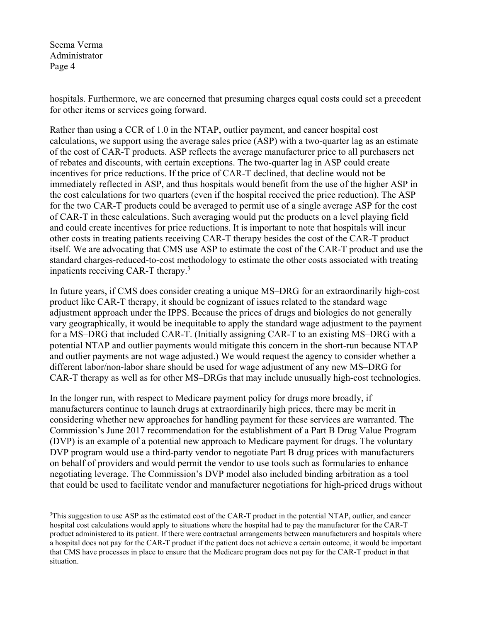1

hospitals. Furthermore, we are concerned that presuming charges equal costs could set a precedent for other items or services going forward.

Rather than using a CCR of 1.0 in the NTAP, outlier payment, and cancer hospital cost calculations, we support using the average sales price (ASP) with a two-quarter lag as an estimate of the cost of CAR-T products. ASP reflects the average manufacturer price to all purchasers net of rebates and discounts, with certain exceptions. The two-quarter lag in ASP could create incentives for price reductions. If the price of CAR-T declined, that decline would not be immediately reflected in ASP, and thus hospitals would benefit from the use of the higher ASP in the cost calculations for two quarters (even if the hospital received the price reduction). The ASP for the two CAR-T products could be averaged to permit use of a single average ASP for the cost of CAR-T in these calculations. Such averaging would put the products on a level playing field and could create incentives for price reductions. It is important to note that hospitals will incur other costs in treating patients receiving CAR-T therapy besides the cost of the CAR-T product itself. We are advocating that CMS use ASP to estimate the cost of the CAR-T product and use the standard charges-reduced-to-cost methodology to estimate the other costs associated with treating inpatients receiving CAR-T therapy.<sup>3</sup>

In future years, if CMS does consider creating a unique MS–DRG for an extraordinarily high-cost product like CAR-T therapy, it should be cognizant of issues related to the standard wage adjustment approach under the IPPS. Because the prices of drugs and biologics do not generally vary geographically, it would be inequitable to apply the standard wage adjustment to the payment for a MS–DRG that included CAR-T. (Initially assigning CAR-T to an existing MS–DRG with a potential NTAP and outlier payments would mitigate this concern in the short-run because NTAP and outlier payments are not wage adjusted.) We would request the agency to consider whether a different labor/non-labor share should be used for wage adjustment of any new MS–DRG for CAR-T therapy as well as for other MS–DRGs that may include unusually high-cost technologies.

In the longer run, with respect to Medicare payment policy for drugs more broadly, if manufacturers continue to launch drugs at extraordinarily high prices, there may be merit in considering whether new approaches for handling payment for these services are warranted. The Commission's June 2017 recommendation for the establishment of a Part B Drug Value Program (DVP) is an example of a potential new approach to Medicare payment for drugs. The voluntary DVP program would use a third-party vendor to negotiate Part B drug prices with manufacturers on behalf of providers and would permit the vendor to use tools such as formularies to enhance negotiating leverage. The Commission's DVP model also included binding arbitration as a tool that could be used to facilitate vendor and manufacturer negotiations for high-priced drugs without

<sup>&</sup>lt;sup>3</sup>This suggestion to use ASP as the estimated cost of the CAR-T product in the potential NTAP, outlier, and cancer hospital cost calculations would apply to situations where the hospital had to pay the manufacturer for the CAR-T product administered to its patient. If there were contractual arrangements between manufacturers and hospitals where a hospital does not pay for the CAR-T product if the patient does not achieve a certain outcome, it would be important that CMS have processes in place to ensure that the Medicare program does not pay for the CAR-T product in that situation.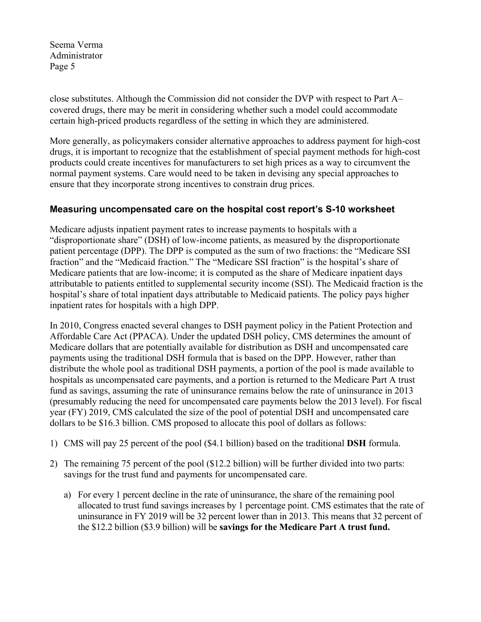close substitutes. Although the Commission did not consider the DVP with respect to Part A– covered drugs, there may be merit in considering whether such a model could accommodate certain high-priced products regardless of the setting in which they are administered.

More generally, as policymakers consider alternative approaches to address payment for high-cost drugs, it is important to recognize that the establishment of special payment methods for high-cost products could create incentives for manufacturers to set high prices as a way to circumvent the normal payment systems. Care would need to be taken in devising any special approaches to ensure that they incorporate strong incentives to constrain drug prices.

## **Measuring uncompensated care on the hospital cost report's S-10 worksheet**

Medicare adjusts inpatient payment rates to increase payments to hospitals with a "disproportionate share" (DSH) of low-income patients, as measured by the disproportionate patient percentage (DPP). The DPP is computed as the sum of two fractions: the "Medicare SSI fraction" and the "Medicaid fraction." The "Medicare SSI fraction" is the hospital's share of Medicare patients that are low-income; it is computed as the share of Medicare inpatient days attributable to patients entitled to supplemental security income (SSI). The Medicaid fraction is the hospital's share of total inpatient days attributable to Medicaid patients. The policy pays higher inpatient rates for hospitals with a high DPP.

In 2010, Congress enacted several changes to DSH payment policy in the Patient Protection and Affordable Care Act (PPACA). Under the updated DSH policy, CMS determines the amount of Medicare dollars that are potentially available for distribution as DSH and uncompensated care payments using the traditional DSH formula that is based on the DPP. However, rather than distribute the whole pool as traditional DSH payments, a portion of the pool is made available to hospitals as uncompensated care payments, and a portion is returned to the Medicare Part A trust fund as savings, assuming the rate of uninsurance remains below the rate of uninsurance in 2013 (presumably reducing the need for uncompensated care payments below the 2013 level). For fiscal year (FY) 2019, CMS calculated the size of the pool of potential DSH and uncompensated care dollars to be \$16.3 billion. CMS proposed to allocate this pool of dollars as follows:

- 1) CMS will pay 25 percent of the pool (\$4.1 billion) based on the traditional **DSH** formula.
- 2) The remaining 75 percent of the pool (\$12.2 billion) will be further divided into two parts: savings for the trust fund and payments for uncompensated care.
	- a) For every 1 percent decline in the rate of uninsurance, the share of the remaining pool allocated to trust fund savings increases by 1 percentage point. CMS estimates that the rate of uninsurance in FY 2019 will be 32 percent lower than in 2013. This means that 32 percent of the \$12.2 billion (\$3.9 billion) will be **savings for the Medicare Part A trust fund.**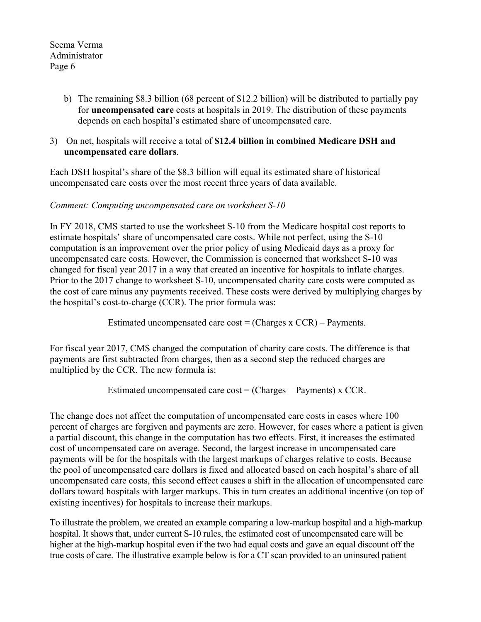> b) The remaining \$8.3 billion (68 percent of \$12.2 billion) will be distributed to partially pay for **uncompensated care** costs at hospitals in 2019. The distribution of these payments depends on each hospital's estimated share of uncompensated care.

## 3) On net, hospitals will receive a total of **\$12.4 billion in combined Medicare DSH and uncompensated care dollars**.

Each DSH hospital's share of the \$8.3 billion will equal its estimated share of historical uncompensated care costs over the most recent three years of data available.

## *Comment: Computing uncompensated care on worksheet S-10*

In FY 2018, CMS started to use the worksheet S-10 from the Medicare hospital cost reports to estimate hospitals' share of uncompensated care costs. While not perfect, using the S-10 computation is an improvement over the prior policy of using Medicaid days as a proxy for uncompensated care costs. However, the Commission is concerned that worksheet S-10 was changed for fiscal year 2017 in a way that created an incentive for hospitals to inflate charges. Prior to the 2017 change to worksheet S-10, uncompensated charity care costs were computed as the cost of care minus any payments received. These costs were derived by multiplying charges by the hospital's cost-to-charge (CCR). The prior formula was:

Estimated uncompensated care  $cost = (Changes x CCR) - Payments$ .

For fiscal year 2017, CMS changed the computation of charity care costs. The difference is that payments are first subtracted from charges, then as a second step the reduced charges are multiplied by the CCR. The new formula is:

Estimated uncompensated care cost = (Charges − Payments) x CCR.

The change does not affect the computation of uncompensated care costs in cases where 100 percent of charges are forgiven and payments are zero. However, for cases where a patient is given a partial discount, this change in the computation has two effects. First, it increases the estimated cost of uncompensated care on average. Second, the largest increase in uncompensated care payments will be for the hospitals with the largest markups of charges relative to costs. Because the pool of uncompensated care dollars is fixed and allocated based on each hospital's share of all uncompensated care costs, this second effect causes a shift in the allocation of uncompensated care dollars toward hospitals with larger markups. This in turn creates an additional incentive (on top of existing incentives) for hospitals to increase their markups.

To illustrate the problem, we created an example comparing a low-markup hospital and a high-markup hospital. It shows that, under current S-10 rules, the estimated cost of uncompensated care will be higher at the high-markup hospital even if the two had equal costs and gave an equal discount off the true costs of care. The illustrative example below is for a CT scan provided to an uninsured patient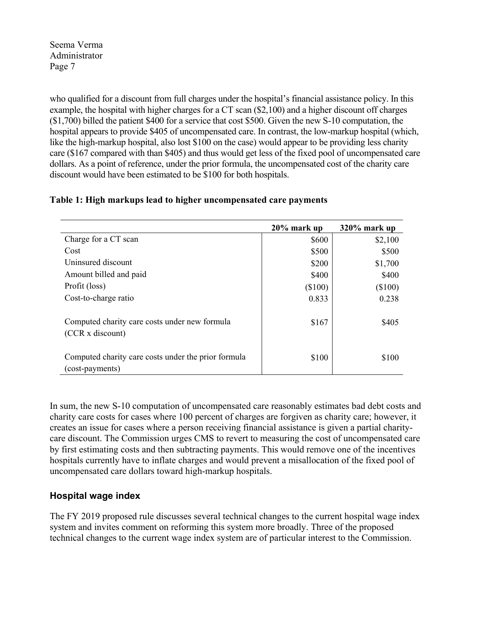who qualified for a discount from full charges under the hospital's financial assistance policy. In this example, the hospital with higher charges for a CT scan (\$2,100) and a higher discount off charges (\$1,700) billed the patient \$400 for a service that cost \$500. Given the new S-10 computation, the hospital appears to provide \$405 of uncompensated care. In contrast, the low-markup hospital (which, like the high-markup hospital, also lost \$100 on the case) would appear to be providing less charity care (\$167 compared with than \$405) and thus would get less of the fixed pool of uncompensated care dollars. As a point of reference, under the prior formula, the uncompensated cost of the charity care discount would have been estimated to be \$100 for both hospitals.

### **Table 1: High markups lead to higher uncompensated care payments**

|                                                                        | 20% mark up | $320\%$ mark up |
|------------------------------------------------------------------------|-------------|-----------------|
| Charge for a CT scan                                                   | \$600       | \$2,100         |
| Cost                                                                   | \$500       | \$500           |
| Uninsured discount                                                     | \$200       | \$1,700         |
| Amount billed and paid                                                 | \$400       | \$400           |
| Profit (loss)                                                          | $(\$100)$   | $(\$100)$       |
| Cost-to-charge ratio                                                   | 0.833       | 0.238           |
| Computed charity care costs under new formula<br>(CCR x discount)      | \$167       | \$405           |
| Computed charity care costs under the prior formula<br>(cost-payments) | \$100       | \$100           |

In sum, the new S-10 computation of uncompensated care reasonably estimates bad debt costs and charity care costs for cases where 100 percent of charges are forgiven as charity care; however, it creates an issue for cases where a person receiving financial assistance is given a partial charitycare discount. The Commission urges CMS to revert to measuring the cost of uncompensated care by first estimating costs and then subtracting payments. This would remove one of the incentives hospitals currently have to inflate charges and would prevent a misallocation of the fixed pool of uncompensated care dollars toward high-markup hospitals.

## **Hospital wage index**

The FY 2019 proposed rule discusses several technical changes to the current hospital wage index system and invites comment on reforming this system more broadly. Three of the proposed technical changes to the current wage index system are of particular interest to the Commission.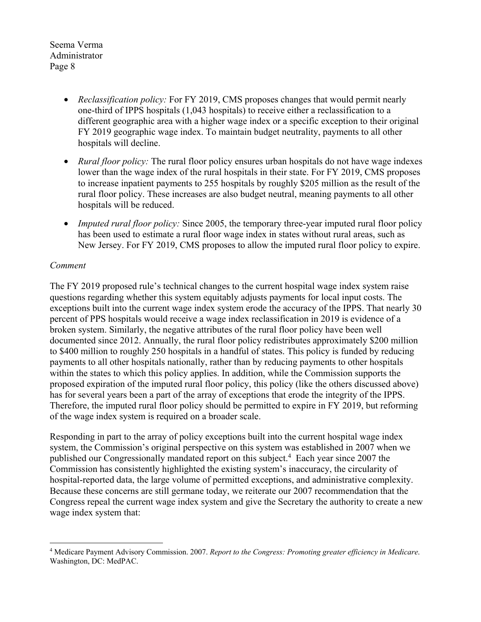- *Reclassification policy:* For FY 2019, CMS proposes changes that would permit nearly one-third of IPPS hospitals (1,043 hospitals) to receive either a reclassification to a different geographic area with a higher wage index or a specific exception to their original FY 2019 geographic wage index. To maintain budget neutrality, payments to all other hospitals will decline.
- *Rural floor policy:* The rural floor policy ensures urban hospitals do not have wage indexes lower than the wage index of the rural hospitals in their state. For FY 2019, CMS proposes to increase inpatient payments to 255 hospitals by roughly \$205 million as the result of the rural floor policy. These increases are also budget neutral, meaning payments to all other hospitals will be reduced.
- *Imputed rural floor policy:* Since 2005, the temporary three-year imputed rural floor policy has been used to estimate a rural floor wage index in states without rural areas, such as New Jersey. For FY 2019, CMS proposes to allow the imputed rural floor policy to expire.

### *Comment*

The FY 2019 proposed rule's technical changes to the current hospital wage index system raise questions regarding whether this system equitably adjusts payments for local input costs. The exceptions built into the current wage index system erode the accuracy of the IPPS. That nearly 30 percent of PPS hospitals would receive a wage index reclassification in 2019 is evidence of a broken system. Similarly, the negative attributes of the rural floor policy have been well documented since 2012. Annually, the rural floor policy redistributes approximately \$200 million to \$400 million to roughly 250 hospitals in a handful of states. This policy is funded by reducing payments to all other hospitals nationally, rather than by reducing payments to other hospitals within the states to which this policy applies. In addition, while the Commission supports the proposed expiration of the imputed rural floor policy, this policy (like the others discussed above) has for several years been a part of the array of exceptions that erode the integrity of the IPPS. Therefore, the imputed rural floor policy should be permitted to expire in FY 2019, but reforming of the wage index system is required on a broader scale.

Responding in part to the array of policy exceptions built into the current hospital wage index system, the Commission's original perspective on this system was established in 2007 when we published our Congressionally mandated report on this subject.<sup>4</sup> Each year since 2007 the Commission has consistently highlighted the existing system's inaccuracy, the circularity of hospital-reported data, the large volume of permitted exceptions, and administrative complexity. Because these concerns are still germane today, we reiterate our 2007 recommendation that the Congress repeal the current wage index system and give the Secretary the authority to create a new wage index system that:

<sup>1</sup> 4 Medicare Payment Advisory Commission. 2007. *Report to the Congress: Promoting greater efficiency in Medicare*. Washington, DC: MedPAC.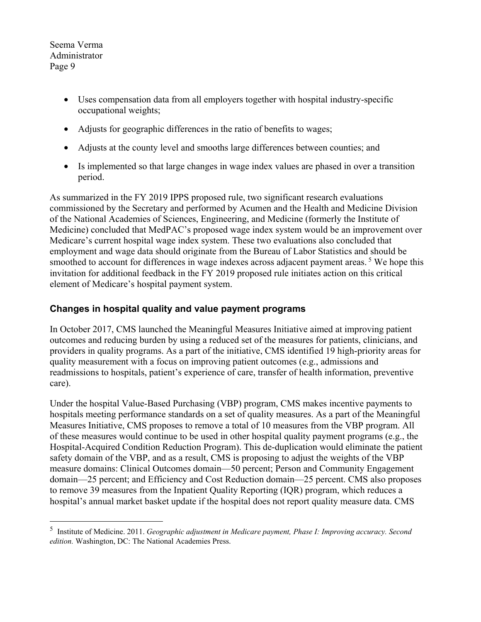<u>.</u>

- Uses compensation data from all employers together with hospital industry-specific occupational weights;
- Adjusts for geographic differences in the ratio of benefits to wages;
- Adjusts at the county level and smooths large differences between counties; and
- Is implemented so that large changes in wage index values are phased in over a transition period.

As summarized in the FY 2019 IPPS proposed rule, two significant research evaluations commissioned by the Secretary and performed by Acumen and the Health and Medicine Division of the National Academies of Sciences, Engineering, and Medicine (formerly the Institute of Medicine) concluded that MedPAC's proposed wage index system would be an improvement over Medicare's current hospital wage index system. These two evaluations also concluded that employment and wage data should originate from the Bureau of Labor Statistics and should be smoothed to account for differences in wage indexes across adjacent payment areas.<sup>5</sup> We hope this invitation for additional feedback in the FY 2019 proposed rule initiates action on this critical element of Medicare's hospital payment system.

# **Changes in hospital quality and value payment programs**

In October 2017, CMS launched the Meaningful Measures Initiative aimed at improving patient outcomes and reducing burden by using a reduced set of the measures for patients, clinicians, and providers in quality programs. As a part of the initiative, CMS identified 19 high-priority areas for quality measurement with a focus on improving patient outcomes (e.g., admissions and readmissions to hospitals, patient's experience of care, transfer of health information, preventive care).

Under the hospital Value-Based Purchasing (VBP) program, CMS makes incentive payments to hospitals meeting performance standards on a set of quality measures. As a part of the Meaningful Measures Initiative, CMS proposes to remove a total of 10 measures from the VBP program. All of these measures would continue to be used in other hospital quality payment programs (e.g., the Hospital-Acquired Condition Reduction Program). This de-duplication would eliminate the patient safety domain of the VBP, and as a result, CMS is proposing to adjust the weights of the VBP measure domains: Clinical Outcomes domain—50 percent; Person and Community Engagement domain—25 percent; and Efficiency and Cost Reduction domain—25 percent. CMS also proposes to remove 39 measures from the Inpatient Quality Reporting (IQR) program, which reduces a hospital's annual market basket update if the hospital does not report quality measure data. CMS

<sup>5</sup> Institute of Medicine. 2011. *Geographic adjustment in Medicare payment, Phase I: Improving accuracy. Second edition.* Washington, DC: The National Academies Press.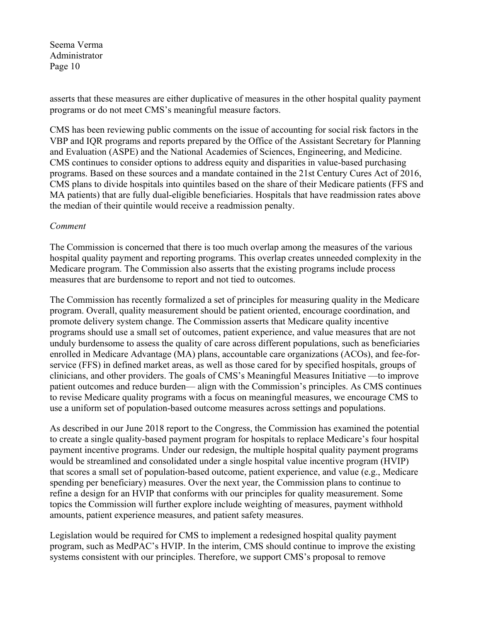asserts that these measures are either duplicative of measures in the other hospital quality payment programs or do not meet CMS's meaningful measure factors.

CMS has been reviewing public comments on the issue of accounting for social risk factors in the VBP and IQR programs and reports prepared by the Office of the Assistant Secretary for Planning and Evaluation (ASPE) and the National Academies of Sciences, Engineering, and Medicine. CMS continues to consider options to address equity and disparities in value-based purchasing programs. Based on these sources and a mandate contained in the 21st Century Cures Act of 2016, CMS plans to divide hospitals into quintiles based on the share of their Medicare patients (FFS and MA patients) that are fully dual-eligible beneficiaries. Hospitals that have readmission rates above the median of their quintile would receive a readmission penalty.

#### *Comment*

The Commission is concerned that there is too much overlap among the measures of the various hospital quality payment and reporting programs. This overlap creates unneeded complexity in the Medicare program. The Commission also asserts that the existing programs include process measures that are burdensome to report and not tied to outcomes.

The Commission has recently formalized a set of principles for measuring quality in the Medicare program. Overall, quality measurement should be patient oriented, encourage coordination, and promote delivery system change. The Commission asserts that Medicare quality incentive programs should use a small set of outcomes, patient experience, and value measures that are not unduly burdensome to assess the quality of care across different populations, such as beneficiaries enrolled in Medicare Advantage (MA) plans, accountable care organizations (ACOs), and fee-forservice (FFS) in defined market areas, as well as those cared for by specified hospitals, groups of clinicians, and other providers. The goals of CMS's Meaningful Measures Initiative —to improve patient outcomes and reduce burden— align with the Commission's principles. As CMS continues to revise Medicare quality programs with a focus on meaningful measures, we encourage CMS to use a uniform set of population-based outcome measures across settings and populations.

As described in our June 2018 report to the Congress, the Commission has examined the potential to create a single quality-based payment program for hospitals to replace Medicare's four hospital payment incentive programs. Under our redesign, the multiple hospital quality payment programs would be streamlined and consolidated under a single hospital value incentive program (HVIP) that scores a small set of population-based outcome, patient experience, and value (e.g., Medicare spending per beneficiary) measures. Over the next year, the Commission plans to continue to refine a design for an HVIP that conforms with our principles for quality measurement. Some topics the Commission will further explore include weighting of measures, payment withhold amounts, patient experience measures, and patient safety measures.

Legislation would be required for CMS to implement a redesigned hospital quality payment program, such as MedPAC's HVIP. In the interim, CMS should continue to improve the existing systems consistent with our principles. Therefore, we support CMS's proposal to remove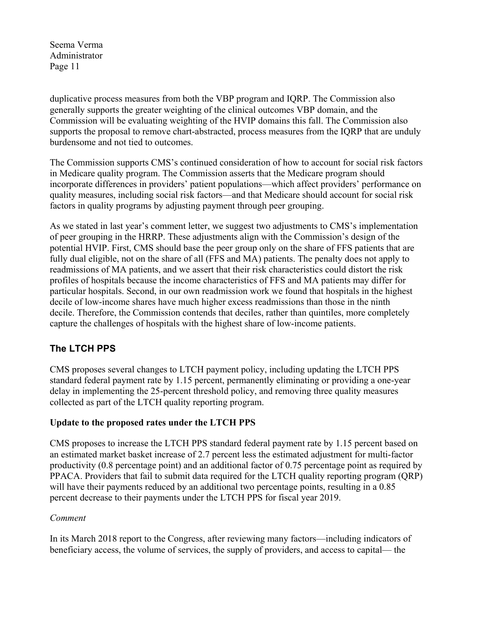duplicative process measures from both the VBP program and IQRP. The Commission also generally supports the greater weighting of the clinical outcomes VBP domain, and the Commission will be evaluating weighting of the HVIP domains this fall. The Commission also supports the proposal to remove chart-abstracted, process measures from the IQRP that are unduly burdensome and not tied to outcomes.

The Commission supports CMS's continued consideration of how to account for social risk factors in Medicare quality program. The Commission asserts that the Medicare program should incorporate differences in providers' patient populations—which affect providers' performance on quality measures, including social risk factors—and that Medicare should account for social risk factors in quality programs by adjusting payment through peer grouping.

As we stated in last year's comment letter, we suggest two adjustments to CMS's implementation of peer grouping in the HRRP. These adjustments align with the Commission's design of the potential HVIP. First, CMS should base the peer group only on the share of FFS patients that are fully dual eligible, not on the share of all (FFS and MA) patients. The penalty does not apply to readmissions of MA patients, and we assert that their risk characteristics could distort the risk profiles of hospitals because the income characteristics of FFS and MA patients may differ for particular hospitals. Second, in our own readmission work we found that hospitals in the highest decile of low-income shares have much higher excess readmissions than those in the ninth decile. Therefore, the Commission contends that deciles, rather than quintiles, more completely capture the challenges of hospitals with the highest share of low-income patients.

# **The LTCH PPS**

CMS proposes several changes to LTCH payment policy, including updating the LTCH PPS standard federal payment rate by 1.15 percent, permanently eliminating or providing a one-year delay in implementing the 25-percent threshold policy, and removing three quality measures collected as part of the LTCH quality reporting program.

## **Update to the proposed rates under the LTCH PPS**

CMS proposes to increase the LTCH PPS standard federal payment rate by 1.15 percent based on an estimated market basket increase of 2.7 percent less the estimated adjustment for multi-factor productivity (0.8 percentage point) and an additional factor of 0.75 percentage point as required by PPACA. Providers that fail to submit data required for the LTCH quality reporting program (QRP) will have their payments reduced by an additional two percentage points, resulting in a 0.85 percent decrease to their payments under the LTCH PPS for fiscal year 2019.

### *Comment*

In its March 2018 report to the Congress, after reviewing many factors—including indicators of beneficiary access, the volume of services, the supply of providers, and access to capital— the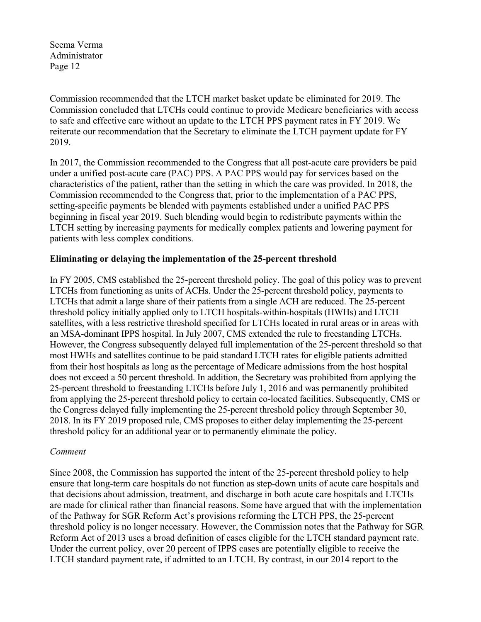Commission recommended that the LTCH market basket update be eliminated for 2019. The Commission concluded that LTCHs could continue to provide Medicare beneficiaries with access to safe and effective care without an update to the LTCH PPS payment rates in FY 2019. We reiterate our recommendation that the Secretary to eliminate the LTCH payment update for FY 2019.

In 2017, the Commission recommended to the Congress that all post-acute care providers be paid under a unified post-acute care (PAC) PPS. A PAC PPS would pay for services based on the characteristics of the patient, rather than the setting in which the care was provided. In 2018, the Commission recommended to the Congress that, prior to the implementation of a PAC PPS, setting-specific payments be blended with payments established under a unified PAC PPS beginning in fiscal year 2019. Such blending would begin to redistribute payments within the LTCH setting by increasing payments for medically complex patients and lowering payment for patients with less complex conditions.

### **Eliminating or delaying the implementation of the 25-percent threshold**

In FY 2005, CMS established the 25-percent threshold policy. The goal of this policy was to prevent LTCHs from functioning as units of ACHs. Under the 25-percent threshold policy, payments to LTCHs that admit a large share of their patients from a single ACH are reduced. The 25-percent threshold policy initially applied only to LTCH hospitals-within-hospitals (HWHs) and LTCH satellites, with a less restrictive threshold specified for LTCHs located in rural areas or in areas with an MSA-dominant IPPS hospital. In July 2007, CMS extended the rule to freestanding LTCHs. However, the Congress subsequently delayed full implementation of the 25-percent threshold so that most HWHs and satellites continue to be paid standard LTCH rates for eligible patients admitted from their host hospitals as long as the percentage of Medicare admissions from the host hospital does not exceed a 50 percent threshold. In addition, the Secretary was prohibited from applying the 25-percent threshold to freestanding LTCHs before July 1, 2016 and was permanently prohibited from applying the 25-percent threshold policy to certain co-located facilities. Subsequently, CMS or the Congress delayed fully implementing the 25-percent threshold policy through September 30, 2018. In its FY 2019 proposed rule, CMS proposes to either delay implementing the 25-percent threshold policy for an additional year or to permanently eliminate the policy.

### *Comment*

Since 2008, the Commission has supported the intent of the 25-percent threshold policy to help ensure that long-term care hospitals do not function as step-down units of acute care hospitals and that decisions about admission, treatment, and discharge in both acute care hospitals and LTCHs are made for clinical rather than financial reasons. Some have argued that with the implementation of the Pathway for SGR Reform Act's provisions reforming the LTCH PPS, the 25-percent threshold policy is no longer necessary. However, the Commission notes that the Pathway for SGR Reform Act of 2013 uses a broad definition of cases eligible for the LTCH standard payment rate. Under the current policy, over 20 percent of IPPS cases are potentially eligible to receive the LTCH standard payment rate, if admitted to an LTCH. By contrast, in our 2014 report to the